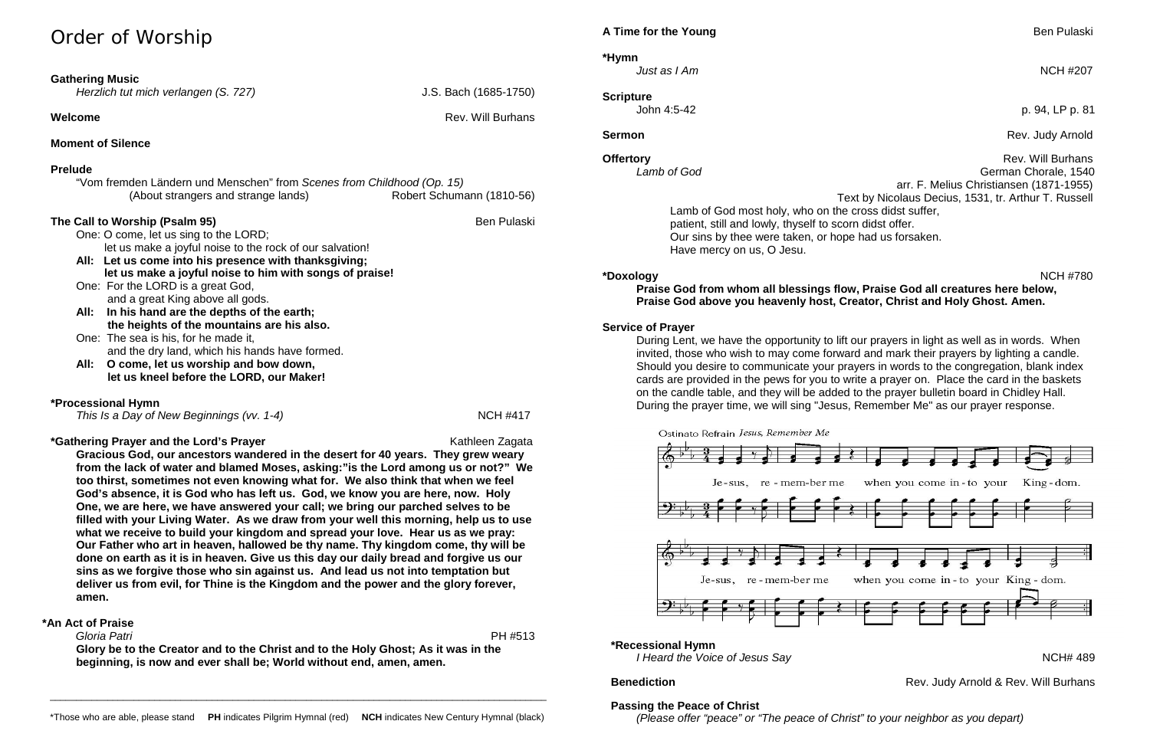# Order of Worship

| <b>Gathering Music</b><br>Herzlich tut mich verlangen (S. 727)                                                                                                                                                                                                                                                                                                                                                                                                                                                                                                                                                           | J.S. Bach (1685-1750)     |
|--------------------------------------------------------------------------------------------------------------------------------------------------------------------------------------------------------------------------------------------------------------------------------------------------------------------------------------------------------------------------------------------------------------------------------------------------------------------------------------------------------------------------------------------------------------------------------------------------------------------------|---------------------------|
| Welcome                                                                                                                                                                                                                                                                                                                                                                                                                                                                                                                                                                                                                  | <b>Rev. Will Burhans</b>  |
| <b>Moment of Silence</b>                                                                                                                                                                                                                                                                                                                                                                                                                                                                                                                                                                                                 |                           |
| <b>Prelude</b>                                                                                                                                                                                                                                                                                                                                                                                                                                                                                                                                                                                                           |                           |
| "Vom fremden Ländern und Menschen" from Scenes from Childhood (Op. 15)<br>(About strangers and strange lands)                                                                                                                                                                                                                                                                                                                                                                                                                                                                                                            | Robert Schumann (1810-56) |
| The Call to Worship (Psalm 95)<br>One: O come, let us sing to the LORD;<br>let us make a joyful noise to the rock of our salvation!<br>All: Let us come into his presence with thanksgiving;<br>let us make a joyful noise to him with songs of praise!<br>One: For the LORD is a great God,<br>and a great King above all gods.<br>In his hand are the depths of the earth;<br>All:<br>the heights of the mountains are his also.<br>One: The sea is his, for he made it,<br>and the dry land, which his hands have formed.<br>O come, let us worship and bow down,<br>All:<br>let us kneel before the LORD, our Maker! | <b>Ben Pulaski</b>        |
| <b>*Processional Hymn</b><br>This Is a Day of New Beginnings (vv. 1-4)                                                                                                                                                                                                                                                                                                                                                                                                                                                                                                                                                   | <b>NCH #417</b>           |

## **\*Gathering Prayer and the Lord's Prayer** Mathleen Zagata Kathleen Zagata

**Offertory Rev. Will Burhans Rev. Will Burhans** *Lamb of God* German Chorale, 1540 arr. F. Melius Christiansen (1871-1955) Text by Nicolaus Decius, 1531, tr. Arthur T. Russell Lamb of God most holy, who on the cross didst suffer, patient, still and lowly, thyself to scorn didst offer. Our sins by thee were taken, or hope had us forsaken. Have mercy on us, O Jesu.

**Gracious God, our ancestors wandered in the desert for 40 years. They grew weary from the lack of water and blamed Moses, asking:"is the Lord among us or not?" We too thirst, sometimes not even knowing what for. We also think that when we feel God's absence, it is God who has left us. God, we know you are here, now. Holy One, we are here, we have answered your call; we bring our parched selves to be filled with your Living Water. As we draw from your well this morning, help us to use what we receive to build your kingdom and spread your love. Hear us as we pray: Our Father who art in heaven, hallowed be thy name. Thy kingdom come, thy will be done on earth as it is in heaven. Give us this day our daily bread and forgive us our sins as we forgive those who sin against us. And lead us not into temptation but deliver us from evil, for Thine is the Kingdom and the power and the glory forever, amen.**

> **\*Recessional Hymn**  *I Heard the Voice of Jesus Say* **NOMES** *I Heard the Voice of Jesus Say*

# **\*An Act of Praise**

 *Gloria Patri* PH #513 **Glory be to the Creator and to the Christ and to the Holy Ghost; As it was in the beginning, is now and ever shall be; World without end, amen, amen.**

# **A Time for the Young Ben Pulaski A Time for the Young**

**\*Hymn** *Just as I Am* NCH #207

**Scripture**

John 4:5-42 p. 94, LP p. 81

**Sermon** Rev. Judy Arnold Rev. Judy Arnold Rev. Judy Arnold Rev. Judy Arnold Rev. Judy Arnold Rev. 3. 1999.

**Benediction** Rev. Judy Arnold & Rev. Will Burhans

**\*Doxology** NCH #780 **Praise God from whom all blessings flow, Praise God all creatures here below, Praise God above you heavenly host, Creator, Christ and Holy Ghost. Amen.**

# **Service of Prayer**

During Lent, we have the opportunity to lift our prayers in light as well as in words. When invited, those who wish to may come forward and mark their prayers by lighting a candle. Should you desire to communicate your prayers in words to the congregation, blank index cards are provided in the pews for you to write a prayer on. Place the card in the baskets on the candle table, and they will be added to the prayer bulletin board in Chidley Hall. During the prayer time, we will sing "Jesus, Remember Me" as our prayer response.

Ostinato Refrain Jesus, Remember Me



# **Passing the Peace of Christ**

*(Please offer "peace" or "The peace of Christ" to your neighbor as you depart)*

\_\_\_\_\_\_\_\_\_\_\_\_\_\_\_\_\_\_\_\_\_\_\_\_\_\_\_\_\_\_\_\_\_\_\_\_\_\_\_\_\_\_\_\_\_\_\_\_\_\_\_\_\_\_\_\_\_\_\_\_\_\_\_\_\_\_\_\_\_\_\_\_\_\_\_\_\_\_\_\_\_\_\_\_\_\_\_\_\_\_\_\_\_\_\_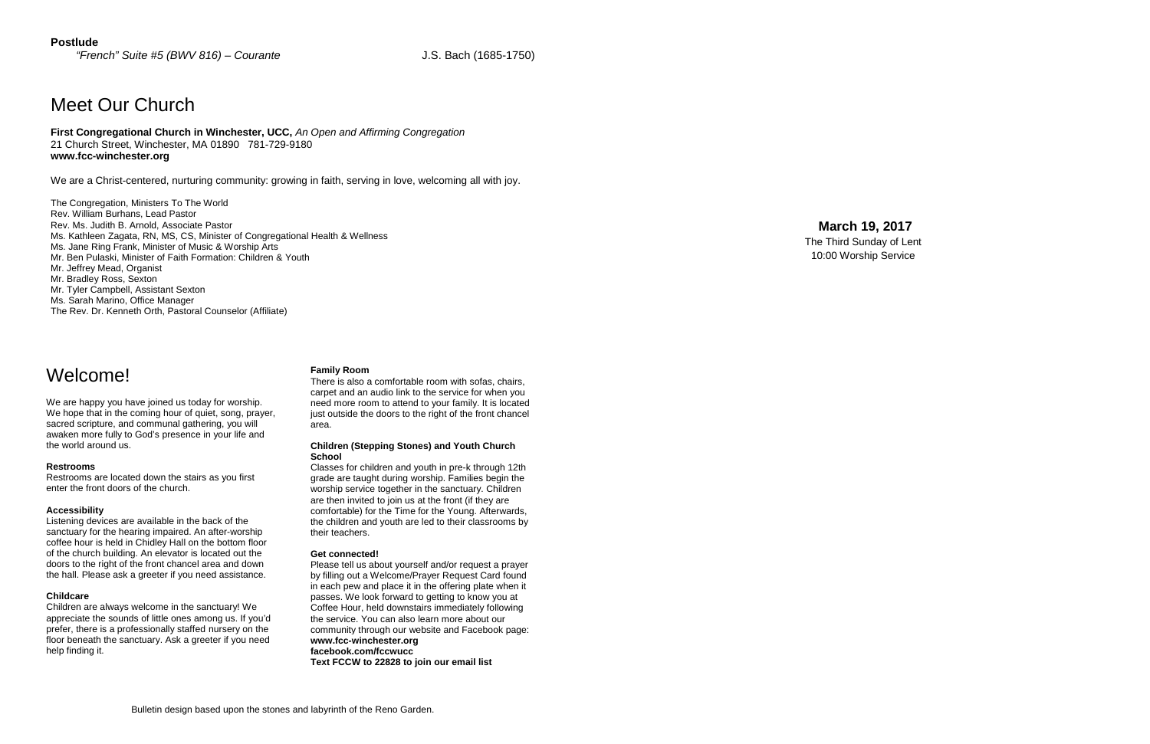## **Postlude**

*"French" Suite #5 (BWV 816) – Courante* J.S. Bach (1685-1750)

# Meet Our Church

**First Congregational Church in Winchester, UCC,** *An Open and Affirming Congregation* 21 Church Street, Winchester, MA 01890 781-729-9180 **www.fcc-winchester.org**

We are a Christ-centered, nurturing community: growing in faith, serving in love, welcoming all with joy.

The Congregation, Ministers To The World Rev. William Burhans, Lead Pastor Rev. Ms. Judith B. Arnold, Associate Pastor Ms. Kathleen Zagata, RN, MS, CS, Minister of Congregational Health & Wellness Ms. Jane Ring Frank, Minister of Music & Worship Arts Mr. Ben Pulaski, Minister of Faith Formation: Children & Youth Mr. Jeffrey Mead, Organist Mr. Bradley Ross, Sexton Mr. Tyler Campbell, Assistant Sexton Ms. Sarah Marino, Office Manager The Rev. Dr. Kenneth Orth, Pastoral Counselor (Affiliate)

# **March 19, 2017**

The Third Sunday of Lent 10:00 Worship Service

Welcome!

We are happy you have joined us today for worship. We hope that in the coming hour of quiet, song, prayer, sacred scripture, and communal gathering, you will awaken more fully to God's presence in your life and the world around us.

### **Restrooms**

Restrooms are located down the stairs as you first enter the front doors of the church.

### **Accessibility**

Listening devices are available in the back of the sanctuary for the hearing impaired. An after-worship coffee hour is held in Chidley Hall on the bottom floor of the church building. An elevator is located out the doors to the right of the front chancel area and down the hall. Please ask a greeter if you need assistance.

### **Childcare**

Children are always welcome in the sanctuary! We appreciate the sounds of little ones among us. If you'd prefer, there is a professionally staffed nursery on the floor beneath the sanctuary. Ask a greeter if you need help finding it.

### **Family Room**

There is also a comfortable room with sofas, chairs, carpet and an audio link to the service for when you need more room to attend to your family. It is located just outside the doors to the right of the front chancel area.

### **Children (Stepping Stones) and Youth Church School**

Classes for children and youth in pre-k through 12th grade are taught during worship. Families begin the worship service together in the sanctuary. Children are then invited to join us at the front (if they are comfortable) for the Time for the Young. Afterwards, the children and youth are led to their classrooms by their teachers.

### **Get connected!**

Please tell us about yourself and/or request a prayer by filling out a Welcome/Prayer Request Card found in each pew and place it in the offering plate when it passes. We look forward to getting to know you at Coffee Hour, held downstairs immediately following the service. You can also learn more about our community through our website and Facebook page: **www.fcc-winchester.org facebook.com/fccwucc Text FCCW to 22828 to join our email list**